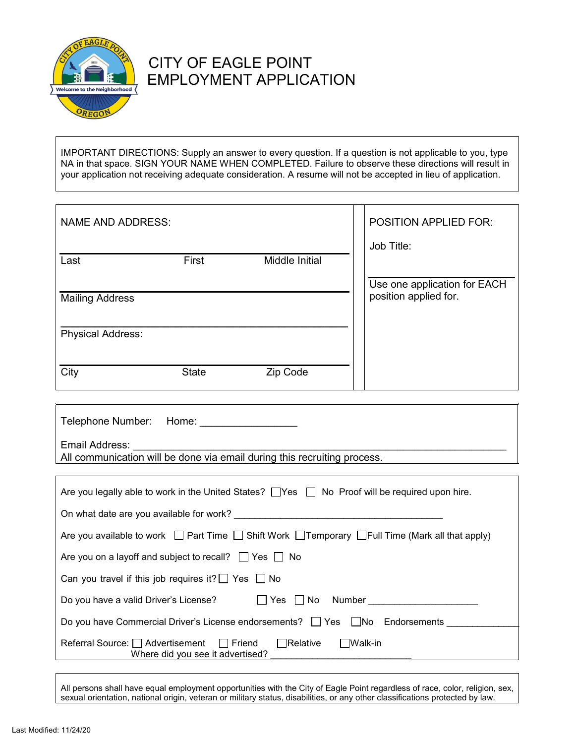

# CITY OF EAGLE POINT EMPLOYMENT APPLICATION

IMPORTANT DIRECTIONS: Supply an answer to every question. If a question is not applicable to you, type NA in that space. SIGN YOUR NAME WHEN COMPLETED. Failure to observe these directions will result in your application not receiving adequate consideration. A resume will not be accepted in lieu of application.

| <b>NAME AND ADDRESS:</b> |              |                | <b>POSITION APPLIED FOR:</b> |
|--------------------------|--------------|----------------|------------------------------|
| Last                     | First        | Middle Initial | Job Title:                   |
|                          |              |                |                              |
|                          |              |                | Use one application for EACH |
| <b>Mailing Address</b>   |              |                | position applied for.        |
|                          |              |                |                              |
| <b>Physical Address:</b> |              |                |                              |
|                          |              |                |                              |
|                          |              |                |                              |
| City                     | <b>State</b> | Zip Code       |                              |

| Telephone Number: Home: |                                                                          |
|-------------------------|--------------------------------------------------------------------------|
| Email Address:          |                                                                          |
|                         | All communication will be done via email during this recruiting process. |

| Are you legally able to work in the United States? TYes TNo Proof will be required upon hire.                        |  |  |  |  |
|----------------------------------------------------------------------------------------------------------------------|--|--|--|--|
| On what date are you available for work?                                                                             |  |  |  |  |
| Are you available to work $\Box$ Part Time $\Box$ Shift Work $\Box$ Temporary $\Box$ Full Time (Mark all that apply) |  |  |  |  |
| Are you on a layoff and subject to recall? $\Box$ Yes $\Box$ No                                                      |  |  |  |  |
| Can you travel if this job requires it? $\Box$ Yes $\Box$ No                                                         |  |  |  |  |
| Do you have a valid Driver's License?<br>l l Yes II<br>No<br>Number                                                  |  |  |  |  |
| Do you have Commercial Driver's License endorsements? $\Box$ Yes $\Box$ No Endorsements                              |  |  |  |  |
| Referral Source: <u>Advertisement</u> Friend<br>  Relative<br>  Walk-in<br>Where did you see it advertised?          |  |  |  |  |

All persons shall have equal employment opportunities with the City of Eagle Point regardless of race, color, religion, sex, sexual orientation, national origin, veteran or military status, disabilities, or any other classifications protected by law.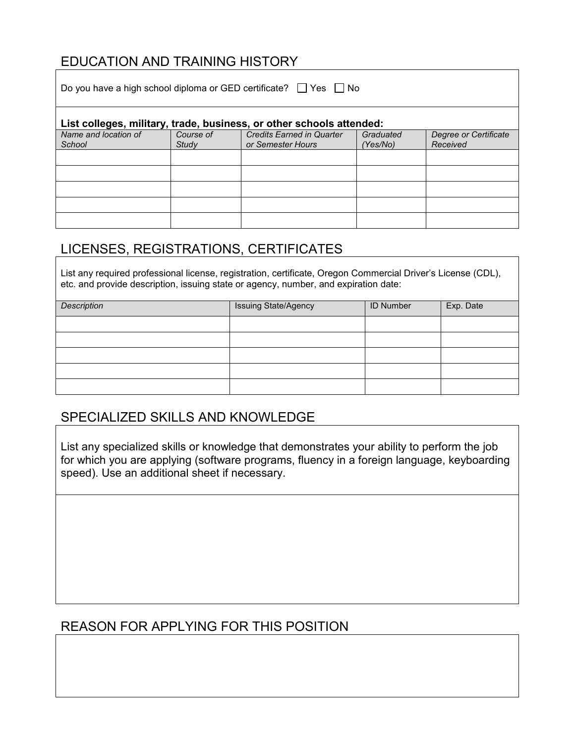### EDUCATION AND TRAINING HISTORY

| Do you have a high school diploma or GED certificate? $\Box$ Yes $\Box$ No |           |                                  |           |                       |  |  |
|----------------------------------------------------------------------------|-----------|----------------------------------|-----------|-----------------------|--|--|
| List colleges, military, trade, business, or other schools attended:       |           |                                  |           |                       |  |  |
| Name and location of                                                       | Course of | <b>Credits Earned in Quarter</b> | Graduated | Degree or Certificate |  |  |
| School                                                                     | Study     | or Semester Hours                | (Yes/No)  | Received              |  |  |
|                                                                            |           |                                  |           |                       |  |  |
|                                                                            |           |                                  |           |                       |  |  |
|                                                                            |           |                                  |           |                       |  |  |
|                                                                            |           |                                  |           |                       |  |  |
|                                                                            |           |                                  |           |                       |  |  |

## LICENSES, REGISTRATIONS, CERTIFICATES

List any required professional license, registration, certificate, Oregon Commercial Driver's License (CDL), etc. and provide description, issuing state or agency, number, and expiration date:

| Description | <b>Issuing State/Agency</b> | ID Number | Exp. Date |
|-------------|-----------------------------|-----------|-----------|
|             |                             |           |           |
|             |                             |           |           |
|             |                             |           |           |
|             |                             |           |           |
|             |                             |           |           |

### SPECIALIZED SKILLS AND KNOWLEDGE

List any specialized skills or knowledge that demonstrates your ability to perform the job for which you are applying (software programs, fluency in a foreign language, keyboarding speed). Use an additional sheet if necessary.

## REASON FOR APPLYING FOR THIS POSITION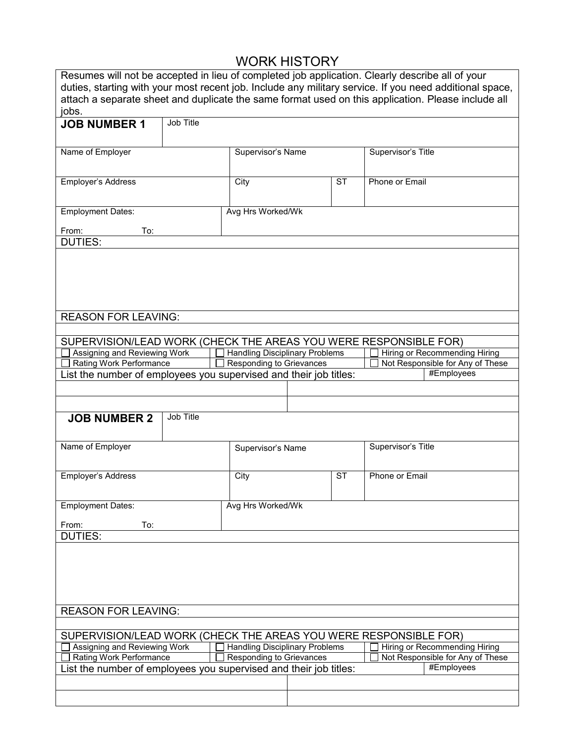# WORK HISTORY

| Resumes will not be accepted in lieu of completed job application. Clearly describe all of your<br>duties, starting with your most recent job. Include any military service. If you need additional space,<br>attach a separate sheet and duplicate the same format used on this application. Please include all<br>jobs. |           |                                       |  |           |                                                                                                   |
|---------------------------------------------------------------------------------------------------------------------------------------------------------------------------------------------------------------------------------------------------------------------------------------------------------------------------|-----------|---------------------------------------|--|-----------|---------------------------------------------------------------------------------------------------|
| <b>JOB NUMBER 1</b>                                                                                                                                                                                                                                                                                                       | Job Title |                                       |  |           |                                                                                                   |
| Name of Employer                                                                                                                                                                                                                                                                                                          |           | Supervisor's Name                     |  |           | Supervisor's Title                                                                                |
| Employer's Address                                                                                                                                                                                                                                                                                                        |           | City                                  |  | <b>ST</b> | Phone or Email                                                                                    |
| <b>Employment Dates:</b><br>From:<br>To:                                                                                                                                                                                                                                                                                  |           | Avg Hrs Worked/Wk                     |  |           |                                                                                                   |
| <b>DUTIES:</b>                                                                                                                                                                                                                                                                                                            |           |                                       |  |           |                                                                                                   |
|                                                                                                                                                                                                                                                                                                                           |           |                                       |  |           |                                                                                                   |
| <b>REASON FOR LEAVING:</b>                                                                                                                                                                                                                                                                                                |           |                                       |  |           |                                                                                                   |
|                                                                                                                                                                                                                                                                                                                           |           |                                       |  |           |                                                                                                   |
| Assigning and Reviewing Work                                                                                                                                                                                                                                                                                              |           | <b>Handling Disciplinary Problems</b> |  |           | SUPERVISION/LEAD WORK (CHECK THE AREAS YOU WERE RESPONSIBLE FOR)<br>Hiring or Recommending Hiring |
| Rating Work Performance                                                                                                                                                                                                                                                                                                   |           | <b>Responding to Grievances</b>       |  |           | Not Responsible for Any of These                                                                  |
| List the number of employees you supervised and their job titles:                                                                                                                                                                                                                                                         |           |                                       |  |           | #Employees                                                                                        |
|                                                                                                                                                                                                                                                                                                                           |           |                                       |  |           |                                                                                                   |
|                                                                                                                                                                                                                                                                                                                           |           |                                       |  |           |                                                                                                   |
| <b>JOB NUMBER 2</b>                                                                                                                                                                                                                                                                                                       | Job Title |                                       |  |           |                                                                                                   |
| Name of Employer                                                                                                                                                                                                                                                                                                          |           | Supervisor's Name                     |  |           | Supervisor's Title                                                                                |
| Employer's Address                                                                                                                                                                                                                                                                                                        |           | City                                  |  | ST        | Phone or Email                                                                                    |
| <b>Employment Dates:</b>                                                                                                                                                                                                                                                                                                  |           | Avg Hrs Worked/Wk                     |  |           |                                                                                                   |
| From:<br>To:                                                                                                                                                                                                                                                                                                              |           |                                       |  |           |                                                                                                   |
| <b>DUTIES:</b>                                                                                                                                                                                                                                                                                                            |           |                                       |  |           |                                                                                                   |
|                                                                                                                                                                                                                                                                                                                           |           |                                       |  |           |                                                                                                   |
| <b>REASON FOR LEAVING:</b>                                                                                                                                                                                                                                                                                                |           |                                       |  |           |                                                                                                   |
|                                                                                                                                                                                                                                                                                                                           |           |                                       |  |           |                                                                                                   |
| SUPERVISION/LEAD WORK (CHECK THE AREAS YOU WERE RESPONSIBLE FOR)                                                                                                                                                                                                                                                          |           |                                       |  |           |                                                                                                   |
| Handling Disciplinary Problems<br>Assigning and Reviewing Work<br>Hiring or Recommending Hiring                                                                                                                                                                                                                           |           |                                       |  |           |                                                                                                   |
| Rating Work Performance<br><b>Responding to Grievances</b><br>Not Responsible for Any of These<br>#Employees<br>List the number of employees you supervised and their job titles:                                                                                                                                         |           |                                       |  |           |                                                                                                   |
|                                                                                                                                                                                                                                                                                                                           |           |                                       |  |           |                                                                                                   |
|                                                                                                                                                                                                                                                                                                                           |           |                                       |  |           |                                                                                                   |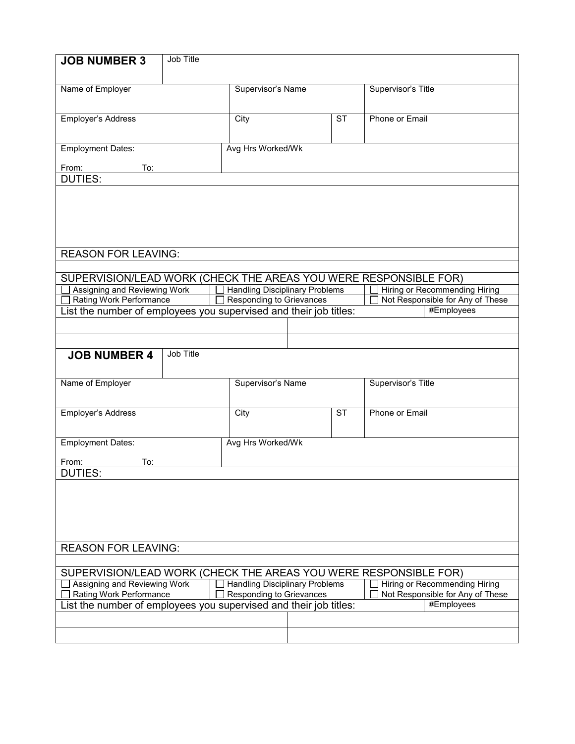| <b>JOB NUMBER 3</b>                                               | Job Title        |                                                                          |                   |                        |                    |                                                                   |
|-------------------------------------------------------------------|------------------|--------------------------------------------------------------------------|-------------------|------------------------|--------------------|-------------------------------------------------------------------|
|                                                                   |                  |                                                                          |                   |                        |                    |                                                                   |
| Name of Employer                                                  |                  |                                                                          | Supervisor's Name |                        | Supervisor's Title |                                                                   |
|                                                                   |                  |                                                                          |                   |                        |                    |                                                                   |
| Employer's Address                                                |                  | City                                                                     |                   | $\overline{\text{ST}}$ | Phone or Email     |                                                                   |
|                                                                   |                  |                                                                          |                   |                        |                    |                                                                   |
| <b>Employment Dates:</b>                                          |                  | Avg Hrs Worked/Wk                                                        |                   |                        |                    |                                                                   |
| From:<br>To:                                                      |                  |                                                                          |                   |                        |                    |                                                                   |
| <b>DUTIES:</b>                                                    |                  |                                                                          |                   |                        |                    |                                                                   |
|                                                                   |                  |                                                                          |                   |                        |                    |                                                                   |
|                                                                   |                  |                                                                          |                   |                        |                    |                                                                   |
|                                                                   |                  |                                                                          |                   |                        |                    |                                                                   |
|                                                                   |                  |                                                                          |                   |                        |                    |                                                                   |
| <b>REASON FOR LEAVING:</b>                                        |                  |                                                                          |                   |                        |                    |                                                                   |
|                                                                   |                  |                                                                          |                   |                        |                    |                                                                   |
| SUPERVISION/LEAD WORK (CHECK THE AREAS YOU WERE RESPONSIBLE FOR)  |                  |                                                                          |                   |                        |                    |                                                                   |
| Assigning and Reviewing Work<br>Rating Work Performance           |                  | <b>Handling Disciplinary Problems</b><br><b>Responding to Grievances</b> |                   |                        |                    | Hiring or Recommending Hiring<br>Not Responsible for Any of These |
| List the number of employees you supervised and their job titles: |                  |                                                                          |                   |                        |                    | #Employees                                                        |
|                                                                   |                  |                                                                          |                   |                        |                    |                                                                   |
|                                                                   |                  |                                                                          |                   |                        |                    |                                                                   |
| <b>JOB NUMBER 4</b>                                               | <b>Job Title</b> |                                                                          |                   |                        |                    |                                                                   |
|                                                                   |                  |                                                                          |                   |                        |                    |                                                                   |
| Name of Employer                                                  |                  | Supervisor's Name                                                        |                   |                        | Supervisor's Title |                                                                   |
|                                                                   |                  |                                                                          |                   |                        |                    |                                                                   |
| Employer's Address                                                |                  | City                                                                     |                   | <b>ST</b>              | Phone or Email     |                                                                   |
|                                                                   |                  |                                                                          |                   |                        |                    |                                                                   |
| <b>Employment Dates:</b>                                          |                  | Avg Hrs Worked/Wk                                                        |                   |                        |                    |                                                                   |
|                                                                   |                  |                                                                          |                   |                        |                    |                                                                   |
| To:<br>From:<br><b>DUTIES:</b>                                    |                  |                                                                          |                   |                        |                    |                                                                   |
|                                                                   |                  |                                                                          |                   |                        |                    |                                                                   |
|                                                                   |                  |                                                                          |                   |                        |                    |                                                                   |
|                                                                   |                  |                                                                          |                   |                        |                    |                                                                   |
|                                                                   |                  |                                                                          |                   |                        |                    |                                                                   |
|                                                                   |                  |                                                                          |                   |                        |                    |                                                                   |
| <b>REASON FOR LEAVING:</b>                                        |                  |                                                                          |                   |                        |                    |                                                                   |
| SUPERVISION/LEAD WORK (CHECK THE AREAS YOU WERE RESPONSIBLE FOR)  |                  |                                                                          |                   |                        |                    |                                                                   |
| Assigning and Reviewing Work                                      |                  | <b>Handling Disciplinary Problems</b>                                    |                   |                        |                    | Hiring or Recommending Hiring                                     |
| Rating Work Performance                                           |                  | <b>Responding to Grievances</b>                                          |                   |                        |                    | Not Responsible for Any of These                                  |
| List the number of employees you supervised and their job titles: |                  |                                                                          |                   |                        |                    | #Employees                                                        |
|                                                                   |                  |                                                                          |                   |                        |                    |                                                                   |
|                                                                   |                  |                                                                          |                   |                        |                    |                                                                   |